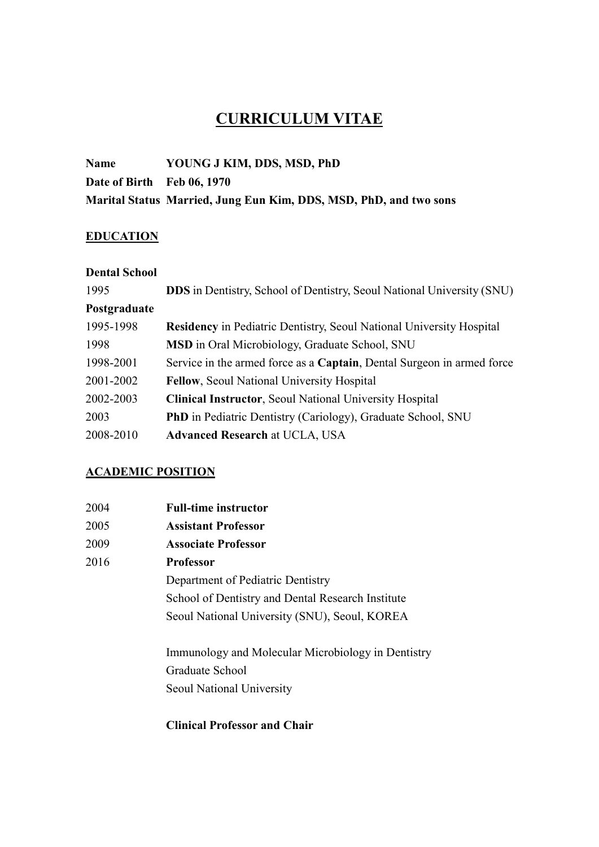# CURRICULUM VITAE

# Name YOUNG J KIM, DDS, MSD, PhD Date of Birth Feb 06, 1970 Marital Status Married, Jung Eun Kim, DDS, MSD, PhD, and two sons

#### **EDUCATION**

| <b>Dental School</b> |                                                                               |
|----------------------|-------------------------------------------------------------------------------|
| 1995                 | <b>DDS</b> in Dentistry, School of Dentistry, Seoul National University (SNU) |
| Postgraduate         |                                                                               |
| 1995-1998            | <b>Residency</b> in Pediatric Dentistry, Seoul National University Hospital   |
| 1998                 | <b>MSD</b> in Oral Microbiology, Graduate School, SNU                         |
| 1998-2001            | Service in the armed force as a Captain, Dental Surgeon in armed force        |
| 2001-2002            | <b>Fellow, Seoul National University Hospital</b>                             |
| 2002-2003            | <b>Clinical Instructor, Seoul National University Hospital</b>                |
| 2003                 | <b>PhD</b> in Pediatric Dentistry (Cariology), Graduate School, SNU           |
| 2008-2010            | <b>Advanced Research at UCLA, USA</b>                                         |

#### ACADEMIC POSITION

| 2004 | <b>Full-time instructor</b>                       |
|------|---------------------------------------------------|
| 2005 | <b>Assistant Professor</b>                        |
| 2009 | <b>Associate Professor</b>                        |
| 2016 | <b>Professor</b>                                  |
|      | Department of Pediatric Dentistry                 |
|      | School of Dentistry and Dental Research Institute |
|      | Seoul National University (SNU), Seoul, KOREA     |
|      |                                                   |
|      |                                                   |

Immunology and Molecular Microbiology in Dentistry Graduate School Seoul National University

#### Clinical Professor and Chair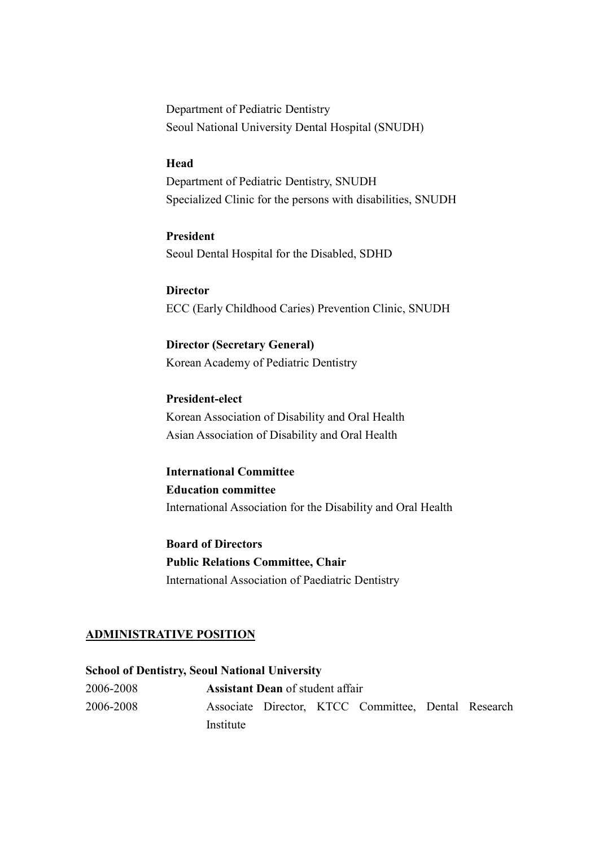Department of Pediatric Dentistry Seoul National University Dental Hospital (SNUDH)

#### Head

Department of Pediatric Dentistry, SNUDH Specialized Clinic for the persons with disabilities, SNUDH

 President Seoul Dental Hospital for the Disabled, SDHD

**Director** ECC (Early Childhood Caries) Prevention Clinic, SNUDH

Director (Secretary General) Korean Academy of Pediatric Dentistry

President-elect Korean Association of Disability and Oral Health Asian Association of Disability and Oral Health

International Committee Education committee International Association for the Disability and Oral Health

Board of Directors Public Relations Committee, Chair International Association of Paediatric Dentistry

#### ADMINISTRATIVE POSITION

School of Dentistry, Seoul National University 2006-2008 Assistant Dean of student affair 2006-2008 Associate Director, KTCC Committee, Dental Research Institute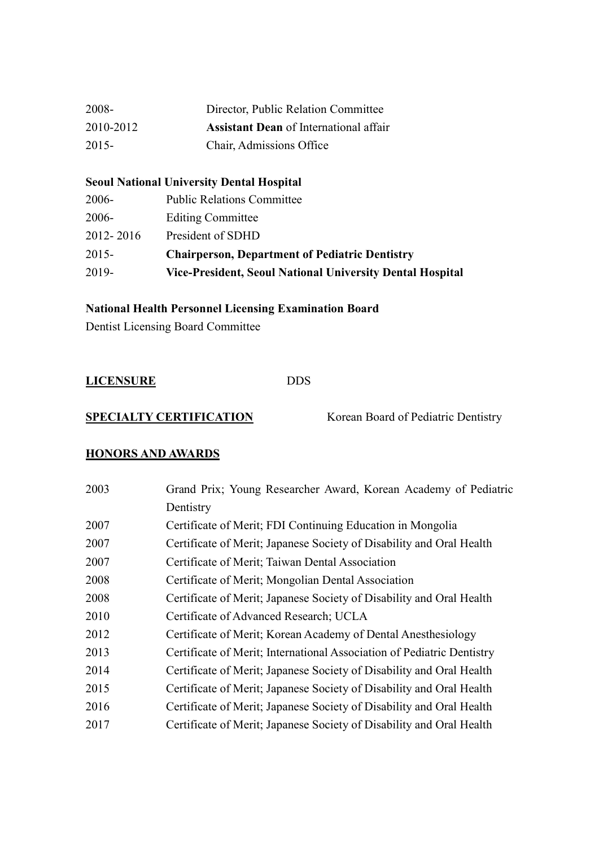| 2008-     | Director, Public Relation Committee           |
|-----------|-----------------------------------------------|
| 2010-2012 | <b>Assistant Dean</b> of International affair |
| 2015-     | Chair, Admissions Office                      |

#### Seoul National University Dental Hospital

| 2019-     | Vice-President, Seoul National University Dental Hospital |
|-----------|-----------------------------------------------------------|
| $2015 -$  | <b>Chairperson, Department of Pediatric Dentistry</b>     |
| 2012-2016 | President of SDHD                                         |
| $2006 -$  | <b>Editing Committee</b>                                  |
| 2006-     | <b>Public Relations Committee</b>                         |

# National Health Personnel Licensing Examination Board

Dentist Licensing Board Committee

| <b>LICENSURE</b> | <b>DDS</b> |
|------------------|------------|
|                  |            |

SPECIALTY CERTIFICATION Korean Board of Pediatric Dentistry

# HONORS AND AWARDS

| Grand Prix; Young Researcher Award, Korean Academy of Pediatric        |
|------------------------------------------------------------------------|
| Dentistry                                                              |
| Certificate of Merit; FDI Continuing Education in Mongolia             |
| Certificate of Merit; Japanese Society of Disability and Oral Health   |
| Certificate of Merit; Taiwan Dental Association                        |
| Certificate of Merit; Mongolian Dental Association                     |
| Certificate of Merit; Japanese Society of Disability and Oral Health   |
| Certificate of Advanced Research; UCLA                                 |
| Certificate of Merit; Korean Academy of Dental Anesthesiology          |
| Certificate of Merit; International Association of Pediatric Dentistry |
| Certificate of Merit; Japanese Society of Disability and Oral Health   |
| Certificate of Merit; Japanese Society of Disability and Oral Health   |
| Certificate of Merit; Japanese Society of Disability and Oral Health   |
| Certificate of Merit; Japanese Society of Disability and Oral Health   |
|                                                                        |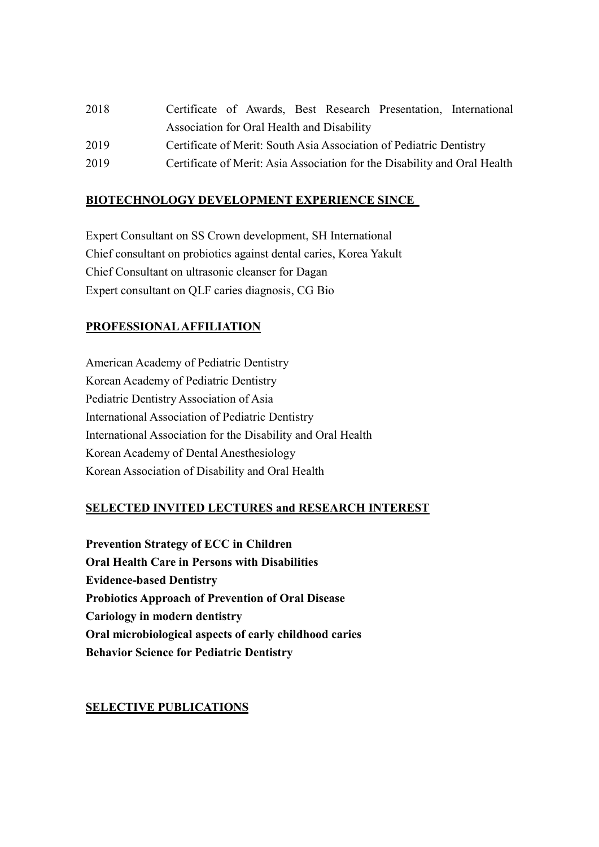| 2018 | Certificate of Awards, Best Research Presentation, International          |
|------|---------------------------------------------------------------------------|
|      | Association for Oral Health and Disability                                |
| 2019 | Certificate of Merit: South Asia Association of Pediatric Dentistry       |
| 2019 | Certificate of Merit: Asia Association for the Disability and Oral Health |

### BIOTECHNOLOGY DEVELOPMENT EXPERIENCE SINCE

Expert Consultant on SS Crown development, SH International Chief consultant on probiotics against dental caries, Korea Yakult Chief Consultant on ultrasonic cleanser for Dagan Expert consultant on QLF caries diagnosis, CG Bio

# PROFESSIONAL AFFILIATION

American Academy of Pediatric Dentistry Korean Academy of Pediatric Dentistry Pediatric Dentistry Association of Asia International Association of Pediatric Dentistry International Association for the Disability and Oral Health Korean Academy of Dental Anesthesiology Korean Association of Disability and Oral Health

#### SELECTED INVITED LECTURES and RESEARCH INTEREST

Prevention Strategy of ECC in Children Oral Health Care in Persons with Disabilities Evidence-based Dentistry Probiotics Approach of Prevention of Oral Disease Cariology in modern dentistry Oral microbiological aspects of early childhood caries Behavior Science for Pediatric Dentistry

#### SELECTIVE PUBLICATIONS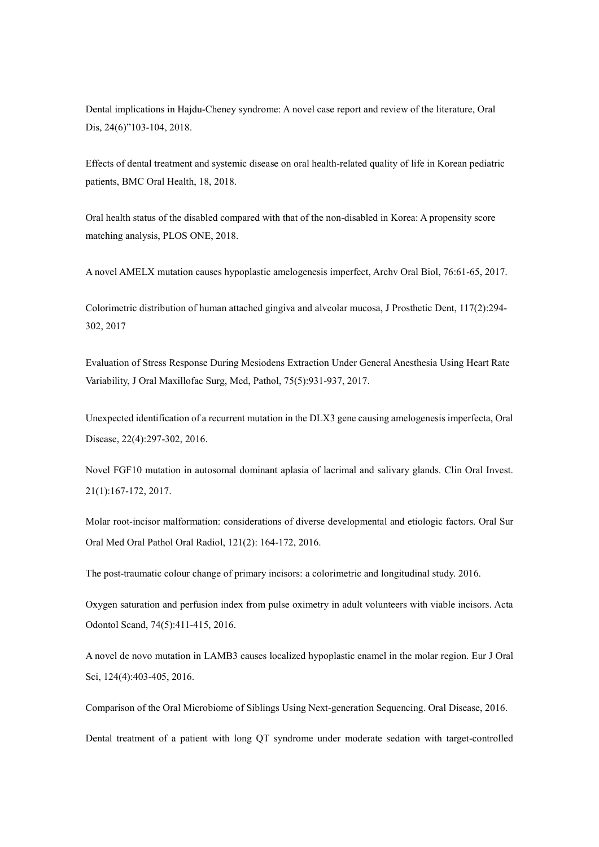Dental implications in Hajdu-Cheney syndrome: A novel case report and review of the literature, Oral Dis, 24(6)"103-104, 2018.

Effects of dental treatment and systemic disease on oral health-related quality of life in Korean pediatric patients, BMC Oral Health, 18, 2018.

Oral health status of the disabled compared with that of the non-disabled in Korea: A propensity score matching analysis, PLOS ONE, 2018.

A novel AMELX mutation causes hypoplastic amelogenesis imperfect, Archv Oral Biol, 76:61-65, 2017.

Colorimetric distribution of human attached gingiva and alveolar mucosa, J Prosthetic Dent, 117(2):294- 302, 2017

Evaluation of Stress Response During Mesiodens Extraction Under General Anesthesia Using Heart Rate Variability, J Oral Maxillofac Surg, Med, Pathol, 75(5):931-937, 2017.

Unexpected identification of a recurrent mutation in the DLX3 gene causing amelogenesis imperfecta, Oral Disease, 22(4):297-302, 2016.

Novel FGF10 mutation in autosomal dominant aplasia of lacrimal and salivary glands. Clin Oral Invest. 21(1):167-172, 2017.

Molar root-incisor malformation: considerations of diverse developmental and etiologic factors. Oral Sur Oral Med Oral Pathol Oral Radiol, 121(2): 164-172, 2016.

The post-traumatic colour change of primary incisors: a colorimetric and longitudinal study. 2016.

Oxygen saturation and perfusion index from pulse oximetry in adult volunteers with viable incisors. Acta Odontol Scand, 74(5):411-415, 2016.

A novel de novo mutation in LAMB3 causes localized hypoplastic enamel in the molar region. Eur J Oral Sci, 124(4):403-405, 2016.

Comparison of the Oral Microbiome of Siblings Using Next-generation Sequencing. Oral Disease, 2016.

Dental treatment of a patient with long QT syndrome under moderate sedation with target-controlled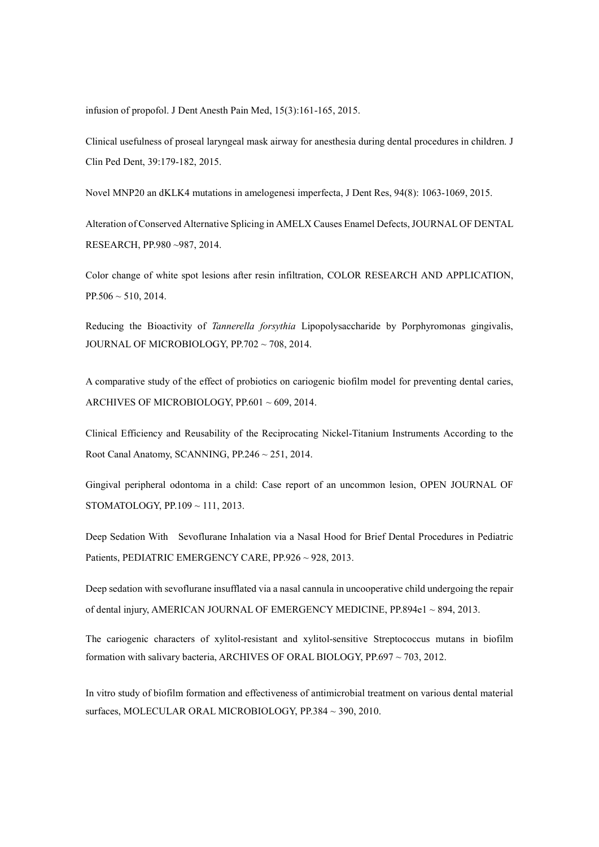infusion of propofol. J Dent Anesth Pain Med, 15(3):161-165, 2015.

Clinical usefulness of proseal laryngeal mask airway for anesthesia during dental procedures in children. J Clin Ped Dent, 39:179-182, 2015.

Novel MNP20 an dKLK4 mutations in amelogenesi imperfecta, J Dent Res, 94(8): 1063-1069, 2015.

Alteration of Conserved Alternative Splicing in AMELX Causes Enamel Defects, JOURNAL OF DENTAL RESEARCH, PP.980 ~987, 2014.

Color change of white spot lesions after resin infiltration, COLOR RESEARCH AND APPLICATION,  $PP.506 \sim 510, 2014.$ 

Reducing the Bioactivity of Tannerella forsythia Lipopolysaccharide by Porphyromonas gingivalis, JOURNAL OF MICROBIOLOGY, PP.702 ~ 708, 2014.

A comparative study of the effect of probiotics on cariogenic biofilm model for preventing dental caries, ARCHIVES OF MICROBIOLOGY, PP.601 ~ 609, 2014.

Clinical Efficiency and Reusability of the Reciprocating Nickel-Titanium Instruments According to the Root Canal Anatomy, SCANNING, PP.246 ~ 251, 2014.

Gingival peripheral odontoma in a child: Case report of an uncommon lesion, OPEN JOURNAL OF STOMATOLOGY, PP.109 ~ 111, 2013.

Deep Sedation With Sevoflurane Inhalation via a Nasal Hood for Brief Dental Procedures in Pediatric Patients, PEDIATRIC EMERGENCY CARE, PP.926 ~ 928, 2013.

Deep sedation with sevoflurane insufflated via a nasal cannula in uncooperative child undergoing the repair of dental injury, AMERICAN JOURNAL OF EMERGENCY MEDICINE, PP.894e1 ~ 894, 2013.

The cariogenic characters of xylitol-resistant and xylitol-sensitive Streptococcus mutans in biofilm formation with salivary bacteria, ARCHIVES OF ORAL BIOLOGY, PP.697 ~ 703, 2012.

In vitro study of biofilm formation and effectiveness of antimicrobial treatment on various dental material surfaces, MOLECULAR ORAL MICROBIOLOGY, PP.384 ~ 390, 2010.